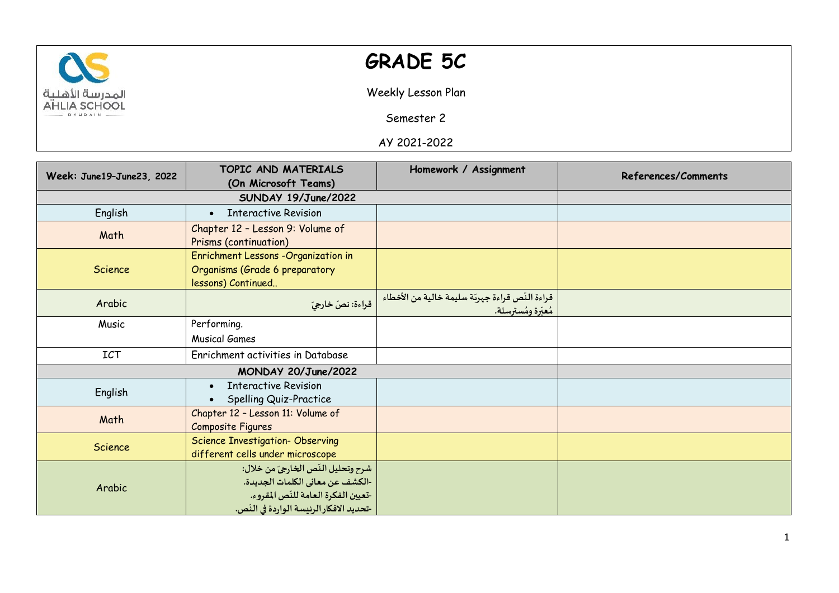

## **GRADE 5C**

Weekly Lesson Plan

Semester 2

AY 2021-2022

| Week: June19-June23, 2022 | TOPIC AND MATERIALS                                                                                                                                       | Homework / Assignment                                                  | References/Comments |
|---------------------------|-----------------------------------------------------------------------------------------------------------------------------------------------------------|------------------------------------------------------------------------|---------------------|
|                           | (On Microsoft Teams)                                                                                                                                      |                                                                        |                     |
|                           | SUNDAY 19/June/2022                                                                                                                                       |                                                                        |                     |
| English                   | <b>Interactive Revision</b><br>$\bullet$                                                                                                                  |                                                                        |                     |
| Math                      | Chapter 12 - Lesson 9: Volume of<br>Prisms (continuation)                                                                                                 |                                                                        |                     |
| Science                   | Enrichment Lessons - Organization in<br>Organisms (Grade 6 preparatory<br>lessons) Continued                                                              |                                                                        |                     |
| Arabic                    | قراءة: نصّ خارجيّ                                                                                                                                         | قراءة النّص قراءة جهربّة سليمة خالية من الأخطاء<br>مُعبِّرة ومُسترسلة. |                     |
| Music                     | Performing.                                                                                                                                               |                                                                        |                     |
|                           | <b>Musical Games</b>                                                                                                                                      |                                                                        |                     |
| <b>ICT</b>                | Enrichment activities in Database                                                                                                                         |                                                                        |                     |
| MONDAY 20/June/2022       |                                                                                                                                                           |                                                                        |                     |
| English                   | <b>Interactive Revision</b><br>$\bullet$<br>Spelling Quiz-Practice                                                                                        |                                                                        |                     |
| Math                      | Chapter 12 - Lesson 11: Volume of<br>Composite Figures                                                                                                    |                                                                        |                     |
| Science                   | <b>Science Investigation- Observing</b><br>different cells under microscope                                                                               |                                                                        |                     |
| Arabic                    | شرح وتحليل النّص الخارجيّ من خلال:<br>-الكشف عن معاني الكلمات الجديدة.<br>-تعيين الفكرة العامة للنّص المقروء.<br>-تحديد الافكار الرئيسة الواردة في النّص. |                                                                        |                     |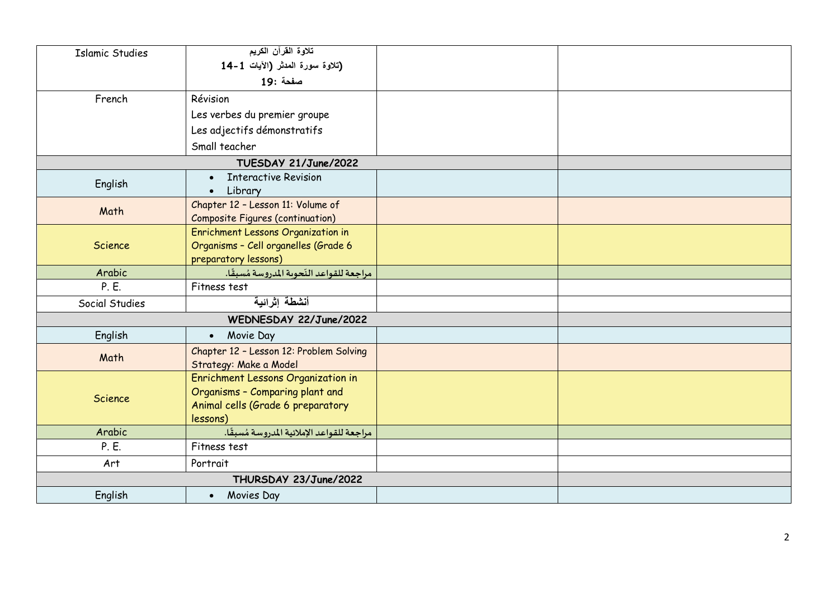| <b>Islamic Studies</b> | تلاوة القرآن الكريم                        |  |  |
|------------------------|--------------------------------------------|--|--|
|                        | (تلاوة سورة المدثر (الآيات 1-14            |  |  |
|                        | صفحة :19                                   |  |  |
| French                 | Révision                                   |  |  |
|                        | Les verbes du premier groupe               |  |  |
|                        | Les adjectifs démonstratifs                |  |  |
|                        | Small teacher                              |  |  |
|                        | TUESDAY 21/June/2022                       |  |  |
|                        | <b>Interactive Revision</b>                |  |  |
| English                | • Library                                  |  |  |
| Math                   | Chapter 12 - Lesson 11: Volume of          |  |  |
|                        | <b>Composite Figures (continuation)</b>    |  |  |
|                        | Enrichment Lessons Organization in         |  |  |
| Science                | Organisms - Cell organelles (Grade 6       |  |  |
|                        | preparatory lessons)                       |  |  |
| Arabic                 | مراجعة للقواعد النّحوية المدروسة مُسبقًا.  |  |  |
| P. E.                  | Fitness test                               |  |  |
| Social Studies         | أنشطة إثرائية                              |  |  |
| WEDNESDAY 22/June/2022 |                                            |  |  |
| English                | • Movie Day                                |  |  |
| Math                   | Chapter 12 - Lesson 12: Problem Solving    |  |  |
|                        | Strategy: Make a Model                     |  |  |
| Science                | <b>Enrichment Lessons Organization in</b>  |  |  |
|                        | Organisms - Comparing plant and            |  |  |
|                        | Animal cells (Grade 6 preparatory          |  |  |
|                        | lessons)                                   |  |  |
| Arabic                 | مراجعة للقواعد الإملائية المدروسة مُسبقًا. |  |  |
| P. E.                  | Fitness test                               |  |  |
| Art                    | Portrait                                   |  |  |
| THURSDAY 23/June/2022  |                                            |  |  |
| English                | • Movies Day                               |  |  |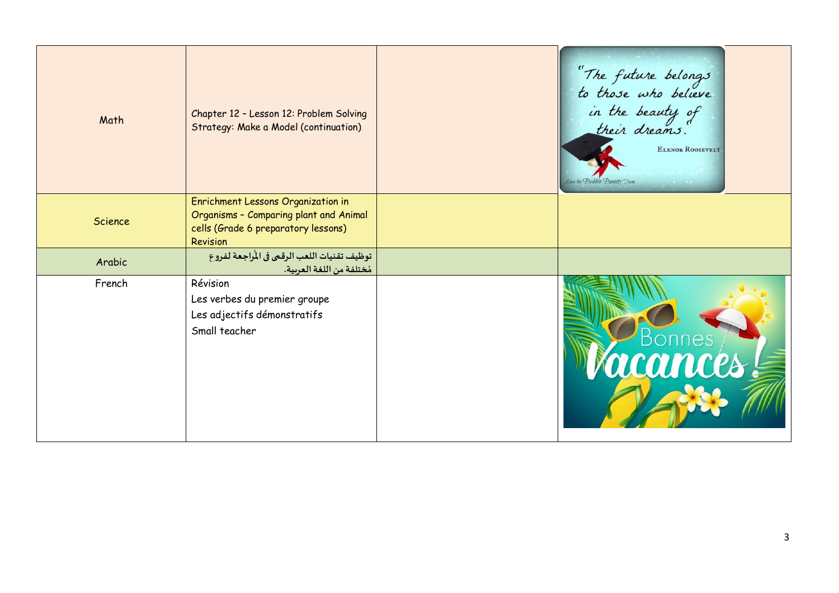| Math           | Chapter 12 - Lesson 12: Problem Solving<br>Strategy: Make a Model (continuation)                                                | "The future belongs"<br>to those who believe<br>in the beauty of<br>their dreams.<br>ELENOR ROOSEVELT<br>Love the Babble Beauty Team<br>$k = k$ |
|----------------|---------------------------------------------------------------------------------------------------------------------------------|-------------------------------------------------------------------------------------------------------------------------------------------------|
| <b>Science</b> | Enrichment Lessons Organization in<br>Organisms - Comparing plant and Animal<br>cells (Grade 6 preparatory lessons)<br>Revision |                                                                                                                                                 |
| Arabic         | توظيف تقنيات اللعب الرقمي في المُراجعة لفروع<br>مُختلفة من اللغة العربية.                                                       |                                                                                                                                                 |
| French         | Révision<br>Les verbes du premier groupe<br>Les adjectifs démonstratifs<br>Small teacher                                        | <b>Bonnes</b><br><i>Vacances!</i>                                                                                                               |